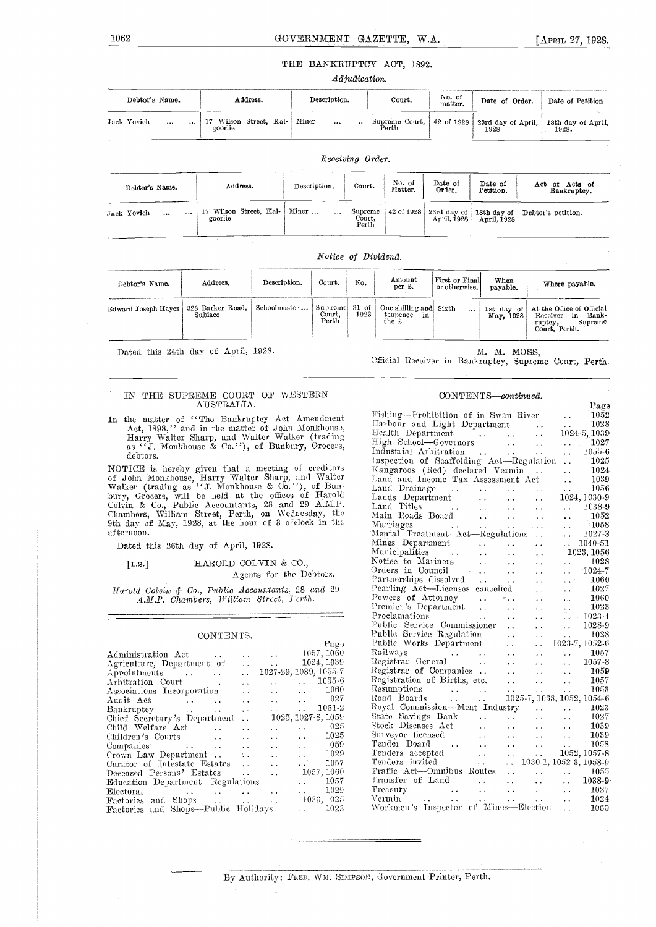#### THE BANKRUPTCY ACT, 1892.

#### Adjudication.

| Debtor's Name.              | <b>Address.</b>                | Description.          | No. of<br>Court.<br>matter. |  | Date of Order.<br>Date of Petition                    |                             |
|-----------------------------|--------------------------------|-----------------------|-----------------------------|--|-------------------------------------------------------|-----------------------------|
| Jack Yovich<br>$\cdots$<br> | Wilson Street, Kal-<br>goorlie | Miner<br>$\cdots$<br> | Supreme Court,<br>Perth     |  | $\vert$ 42 of 1928 $\vert$ 23rd day of April,<br>1928 | 18th day of April,<br>1928. |

| Debtor's Name.                       | Address.                             | Description.      | Court.                     | No. of<br>Matter. | Date of<br>Order. | Date of<br>Petition. | Acts of<br>Act<br>or<br>Bankruptcy.            |
|--------------------------------------|--------------------------------------|-------------------|----------------------------|-------------------|-------------------|----------------------|------------------------------------------------|
| Jack Yovich<br>$\ddotsc$<br>$\cdots$ | Wilson Street, Kal-<br>17<br>goorlie | Miner<br>$\cdots$ | Supreme<br>Court,<br>Perth | $42$ of $1928$    | April, 1928       | April, 1928          | 23rd day of   18th day of   Debtor's petition. |

Receiving Order.

#### Notice of Dividend.

| Debtor's Name.                         | Address. | Description.               | Court.          | No.  | Amount<br>per £.                                            | First or Final<br>or otherwise. | When<br>payable. | Where payable.                                                                                   |
|----------------------------------------|----------|----------------------------|-----------------|------|-------------------------------------------------------------|---------------------------------|------------------|--------------------------------------------------------------------------------------------------|
| Edward Joseph Hayes   328 Barker Road, | Subiaco  | Schoolmaster Supreme 31 of | Court.<br>Perth | 1923 | One shilling and Sixth<br>tenpence<br>-in-<br>the $\pounds$ | $\cdots$                        | May, 1928        | 1st day of At the Office of Official<br>Receiver in Bank-<br>Supreme<br>ruptey,<br>Court, Perth. |

Dated this 24th day of April, 1928. M. M. M. MOSS, M. M. MOSS, M. M. MOSS, Perth.

#### IN THE SUPREME COURT OF WESTERN AUSTRALIA.

In the matter of "The Bankruptcy Act Amendment Act, 1898," and in the matter of John Monkhouse, Harbell Harry Walter Sharp, and Walter Walker (trading Health as "J. Monkhouse & Co.''), of Bunbury, Grocers, debtors.

NOTICE is hereby given that a meeting of creditors is and<br>of John Monkhouse, Harry Walter Sharp, and Walter Iand<br>Walker (trading as "J. Monkhouse & Co.''), of Bun- bury, Grocers, will be held at the offices of Harold Land Colvin & Co., Public Accountants, 28 and 29 A.M.P. Lan<br>Chambers, William Street, Perth, on Wednesday, the Mai<br>9th day of May, 1928, at the hour of 3 o'clock in the Mai afternoon.

Dated this 26th day of April, 1928.

#### [L.s.] HAROLD COLYIN & CO., Agents for the Debtors.

Harold Colvin & Co., Public Accountants, 28 and 29 A.M.P. Chambers, William Street, Ierth.

#### CONTENTS.

|                                                    | Page                                                              | Pul |
|----------------------------------------------------|-------------------------------------------------------------------|-----|
| Administration Act<br>$\sim$                       | 1057, 1060                                                        | Rai |
| Agriculture, Department of<br>$\sim$ $\sim$        | 1024, 1039<br>and the second con-                                 | Reg |
| Appointments<br>$\sim$ $\sim$                      | 1027-29, 1039, 1055-7                                             | Reg |
| Arbitration Court<br>$\sim$ $\sim$                 | $\ldots$ $\ldots$ 1055.6                                          | Reg |
| Associations Incorporation<br>$\sim$ $\sim$        | $\ldots$ $\ldots$ 1060                                            | Res |
| Audit Act<br>$\ddot{\phantom{a}}$<br>$\sim$ $\sim$ | $\ldots$ $1027$                                                   | Roa |
| Bankruptcy<br>$\cdots$                             | $\ldots$ 1061-2<br>and the control                                | Roy |
| Chief Secretary's Department<br>$\sim 10^{-11}$    | $1025, 1027-8, 1059$                                              | Sta |
| Child Welfare Act<br>$\ddot{\phantom{a}}$          | $\ldots$ 1025<br>$\sim$                                           | Sto |
| Children's Courts<br>$\sim$ $\sim$                 | $\ldots$ 1025<br><b>Allen Controllers</b>                         | Sur |
| $\sim$ $\sim$                                      | $\ldots$ 1059<br>$\sim$ $\sim$                                    | Ten |
| Crown Law Department<br>A.                         | $\ldots$ 1029<br>$\sim$ $\sim$                                    | Ter |
| Curator of Intestate Estates<br>$\sim$ $\sim$      | $\ldots$ 1057<br>$\sim$ $\sim$                                    | Ten |
| Deceased Persons' Estates<br>$\mathbf{r}$          | 1057, 1060<br>$\sim 4$                                            | Tra |
| Education Department—Regulations                   | 1057<br>and the con-                                              | Tra |
| Electoral                                          | 1029<br><b>Allen Control</b><br>$\ddot{\phantom{a}}$              | Tre |
| Factories and Shops                                | 1023, 1025<br>$\sim$ $\sim$                                       | Ver |
| Factories and Shops—Public Holidays                | 1023<br>$\mathbf{z}$ , $\mathbf{z}$ , $\mathbf{z}$ , $\mathbf{z}$ | Wo  |
|                                                    |                                                                   |     |

#### CONTENTS-continued.

|                                                                                                                                                                                                                                                                                                                                                                                                            | Page                                                                                              |
|------------------------------------------------------------------------------------------------------------------------------------------------------------------------------------------------------------------------------------------------------------------------------------------------------------------------------------------------------------------------------------------------------------|---------------------------------------------------------------------------------------------------|
| Fishing—Prohibition of in Swan River<br>Harbour and Light Department                                                                                                                                                                                                                                                                                                                                       | 1052                                                                                              |
| Harbour and Light Department                                                                                                                                                                                                                                                                                                                                                                               |                                                                                                   |
|                                                                                                                                                                                                                                                                                                                                                                                                            |                                                                                                   |
| Harbour and Light Department<br>Health Department<br>High School—Governors<br>High School—Governors<br>1027                                                                                                                                                                                                                                                                                                |                                                                                                   |
| Industrial Arbitration<br>Industrial Arbitration<br>Inspection of Scaffolding Act—Regulation<br>In 1025<br>Kangaroos (Red) declared Vermin<br>In 1034<br>Land and Income Tax Assessment Act (1039)<br>1036                                                                                                                                                                                                 |                                                                                                   |
|                                                                                                                                                                                                                                                                                                                                                                                                            |                                                                                                   |
|                                                                                                                                                                                                                                                                                                                                                                                                            |                                                                                                   |
|                                                                                                                                                                                                                                                                                                                                                                                                            |                                                                                                   |
|                                                                                                                                                                                                                                                                                                                                                                                                            | 1056<br>$\sim 10^{-1}$<br>$\sim$ $\sim$                                                           |
|                                                                                                                                                                                                                                                                                                                                                                                                            | $1024, 1030-9$<br>$\sim 10$                                                                       |
|                                                                                                                                                                                                                                                                                                                                                                                                            |                                                                                                   |
| Land Titles<br>Main Roads Board<br>Main Roads Board<br>Marriages<br>Mental Treatment Act—Regulations<br>Mental Treatment Act—Regulations<br>Mental Treatment Act—Regulations<br>2027-8                                                                                                                                                                                                                     |                                                                                                   |
|                                                                                                                                                                                                                                                                                                                                                                                                            |                                                                                                   |
|                                                                                                                                                                                                                                                                                                                                                                                                            |                                                                                                   |
|                                                                                                                                                                                                                                                                                                                                                                                                            | 1040-51<br>$\mathbf{r}$                                                                           |
|                                                                                                                                                                                                                                                                                                                                                                                                            | 1023, 1056                                                                                        |
|                                                                                                                                                                                                                                                                                                                                                                                                            |                                                                                                   |
|                                                                                                                                                                                                                                                                                                                                                                                                            |                                                                                                   |
|                                                                                                                                                                                                                                                                                                                                                                                                            |                                                                                                   |
|                                                                                                                                                                                                                                                                                                                                                                                                            |                                                                                                   |
| Nutricipatrics<br>Notice to Mariners<br>Orders in Council<br>Orders in Council<br>Partnerships dissolved<br>Pearling Act—Licenses cancelied<br>Pearling Act—Licenses cancelied<br>Pearling Act—Licenses cancelied<br>Pearling Act —Licenses ca                                                                                                                                                             |                                                                                                   |
|                                                                                                                                                                                                                                                                                                                                                                                                            |                                                                                                   |
|                                                                                                                                                                                                                                                                                                                                                                                                            |                                                                                                   |
|                                                                                                                                                                                                                                                                                                                                                                                                            |                                                                                                   |
|                                                                                                                                                                                                                                                                                                                                                                                                            |                                                                                                   |
|                                                                                                                                                                                                                                                                                                                                                                                                            |                                                                                                   |
|                                                                                                                                                                                                                                                                                                                                                                                                            |                                                                                                   |
|                                                                                                                                                                                                                                                                                                                                                                                                            |                                                                                                   |
|                                                                                                                                                                                                                                                                                                                                                                                                            |                                                                                                   |
|                                                                                                                                                                                                                                                                                                                                                                                                            |                                                                                                   |
|                                                                                                                                                                                                                                                                                                                                                                                                            |                                                                                                   |
| Public Service Commissioner<br>Public Service Regulation<br>Public Works Department<br>Railways<br>Railways<br>Registrar General<br>Companies<br>Companies<br>Companies<br>Companies<br>Companies<br>Companies<br>Companies<br>Companies<br>Companies<br>Com                                                                                                                                               |                                                                                                   |
|                                                                                                                                                                                                                                                                                                                                                                                                            |                                                                                                   |
| Royal Commission—Meat Industry 1023                                                                                                                                                                                                                                                                                                                                                                        |                                                                                                   |
|                                                                                                                                                                                                                                                                                                                                                                                                            |                                                                                                   |
|                                                                                                                                                                                                                                                                                                                                                                                                            |                                                                                                   |
|                                                                                                                                                                                                                                                                                                                                                                                                            |                                                                                                   |
|                                                                                                                                                                                                                                                                                                                                                                                                            |                                                                                                   |
|                                                                                                                                                                                                                                                                                                                                                                                                            |                                                                                                   |
| State Savings Bank<br>State Savings Bank<br>State Savings Bank<br>Street Diseases Act<br>$\begin{array}{ccc}\n & \cdots & \cdots & \cdots & 1027 \\ \text{Stock Discuss Act} & \cdots & \cdots & \cdots & 1039 \\ \text{Fourleyor licensed} & \cdots & \cdots & \cdots & 1052,1057-8 \\ \text{Tenders accepted} & \cdots & \cdots & \cdots & 1052,1057-8 \\ \text{Tenders invited} & \cdots & \cdots & 10$ |                                                                                                   |
| Traffic Act-Omnibus Routes<br>Transfer of Land                                                                                                                                                                                                                                                                                                                                                             | $\begin{array}{ccc}\n\cdot & \cdot & \cdot & 1055 \\ \cdot & \cdot & \cdot & 1038-9\n\end{array}$ |
|                                                                                                                                                                                                                                                                                                                                                                                                            |                                                                                                   |
|                                                                                                                                                                                                                                                                                                                                                                                                            |                                                                                                   |
|                                                                                                                                                                                                                                                                                                                                                                                                            |                                                                                                   |
|                                                                                                                                                                                                                                                                                                                                                                                                            |                                                                                                   |

By Authority: FRED. WM. SIMPSON, Government Printer, Perth.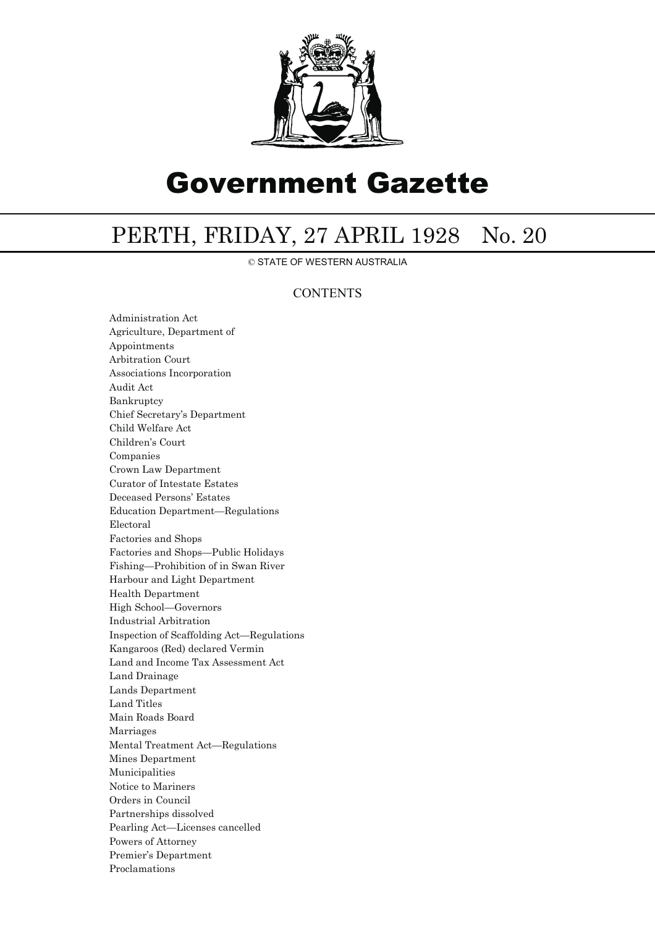

# Government Gazette

## PERTH, FRIDAY, 27 APRIL 1928 No. 20

© STATE OF WESTERN AUSTRALIA

### **CONTENTS**

Administration Act Agriculture, Department of Appointments Arbitration Court Associations Incorporation Audit Act Bankruptcy Chief Secretary's Department Child Welfare Act Children's Court Companies Crown Law Department Curator of Intestate Estates Deceased Persons' Estates Education Department—Regulations Electoral Factories and Shops Factories and Shops—Public Holidays Fishing—Prohibition of in Swan River Harbour and Light Department Health Department High School—Governors Industrial Arbitration Inspection of Scaffolding Act—Regulations Kangaroos (Red) declared Vermin Land and Income Tax Assessment Act Land Drainage Lands Department Land Titles Main Roads Board Marriages Mental Treatment Act—Regulations Mines Department Municipalities Notice to Mariners Orders in Council Partnerships dissolved Pearling Act—Licenses cancelled Powers of Attorney Premier's Department Proclamations